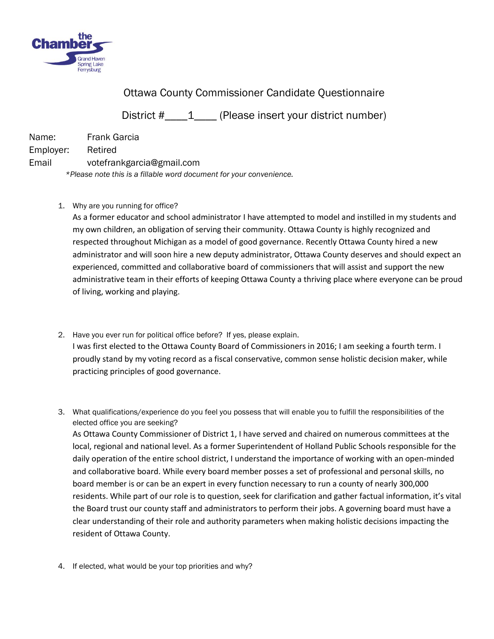

## Ottawa County Commissioner Candidate Questionnaire

District #  $\qquad 1$  (Please insert your district number)

| Name:     | <b>Frank Garcia</b>                                                 |
|-----------|---------------------------------------------------------------------|
| Employer: | Retired                                                             |
| Email     | votefrankgarcia@gmail.com                                           |
|           | *Please note this is a fillable word document for your convenience. |

1. Why are you running for office?

As a former educator and school administrator I have attempted to model and instilled in my students and my own children, an obligation of serving their community. Ottawa County is highly recognized and respected throughout Michigan as a model of good governance. Recently Ottawa County hired a new administrator and will soon hire a new deputy administrator, Ottawa County deserves and should expect an experienced, committed and collaborative board of commissioners that will assist and support the new administrative team in their efforts of keeping Ottawa County a thriving place where everyone can be proud of living, working and playing.

- 2. Have you ever run for political office before? If yes, please explain. I was first elected to the Ottawa County Board of Commissioners in 2016; I am seeking a fourth term. I proudly stand by my voting record as a fiscal conservative, common sense holistic decision maker, while practicing principles of good governance.
- 3. What qualifications/experience do you feel you possess that will enable you to fulfill the responsibilities of the elected office you are seeking? As Ottawa County Commissioner of District 1, I have served and chaired on numerous committees at the local, regional and national level. As a former Superintendent of Holland Public Schools responsible for the daily operation of the entire school district, I understand the importance of working with an open-minded and collaborative board. While every board member posses a set of professional and personal skills, no board member is or can be an expert in every function necessary to run a county of nearly 300,000 residents. While part of our role is to question, seek for clarification and gather factual information, it's vital the Board trust our county staff and administrators to perform their jobs. A governing board must have a clear understanding of their role and authority parameters when making holistic decisions impacting the resident of Ottawa County.
- 4. If elected, what would be your top priorities and why?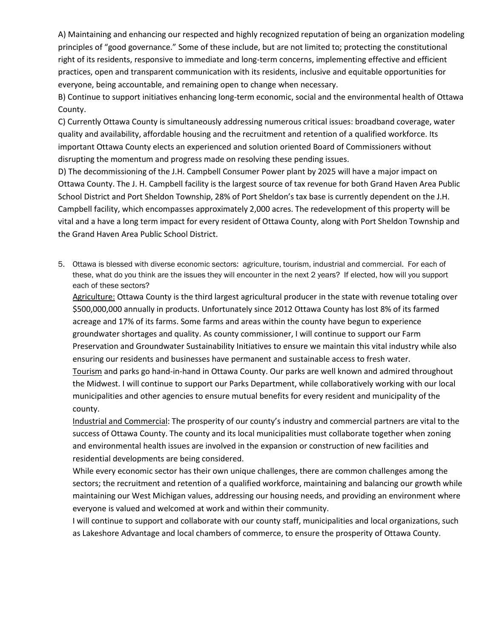A) Maintaining and enhancing our respected and highly recognized reputation of being an organization modeling principles of "good governance." Some of these include, but are not limited to; protecting the constitutional right of its residents, responsive to immediate and long-term concerns, implementing effective and efficient practices, open and transparent communication with its residents, inclusive and equitable opportunities for everyone, being accountable, and remaining open to change when necessary.

B) Continue to support initiatives enhancing long-term economic, social and the environmental health of Ottawa County.

C) Currently Ottawa County is simultaneously addressing numerous critical issues: broadband coverage, water quality and availability, affordable housing and the recruitment and retention of a qualified workforce. Its important Ottawa County elects an experienced and solution oriented Board of Commissioners without disrupting the momentum and progress made on resolving these pending issues.

D) The decommissioning of the J.H. Campbell Consumer Power plant by 2025 will have a major impact on Ottawa County. The J. H. Campbell facility is the largest source of tax revenue for both Grand Haven Area Public School District and Port Sheldon Township, 28% of Port Sheldon's tax base is currently dependent on the J.H. Campbell facility, which encompasses approximately 2,000 acres. The redevelopment of this property will be vital and a have a long term impact for every resident of Ottawa County, along with Port Sheldon Township and the Grand Haven Area Public School District.

5. Ottawa is blessed with diverse economic sectors: agriculture, tourism, industrial and commercial. For each of these, what do you think are the issues they will encounter in the next 2 years? If elected, how will you support each of these sectors?

Agriculture: Ottawa County is the third largest agricultural producer in the state with revenue totaling over \$500,000,000 annually in products. Unfortunately since 2012 Ottawa County has lost 8% of its farmed acreage and 17% of its farms. Some farms and areas within the county have begun to experience groundwater shortages and quality. As county commissioner, I will continue to support our Farm Preservation and Groundwater Sustainability Initiatives to ensure we maintain this vital industry while also ensuring our residents and businesses have permanent and sustainable access to fresh water. Tourism and parks go hand-in-hand in Ottawa County. Our parks are well known and admired throughout

the Midwest. I will continue to support our Parks Department, while collaboratively working with our local municipalities and other agencies to ensure mutual benefits for every resident and municipality of the county.

Industrial and Commercial: The prosperity of our county's industry and commercial partners are vital to the success of Ottawa County. The county and its local municipalities must collaborate together when zoning and environmental health issues are involved in the expansion or construction of new facilities and residential developments are being considered.

While every economic sector has their own unique challenges, there are common challenges among the sectors; the recruitment and retention of a qualified workforce, maintaining and balancing our growth while maintaining our West Michigan values, addressing our housing needs, and providing an environment where everyone is valued and welcomed at work and within their community.

I will continue to support and collaborate with our county staff, municipalities and local organizations, such as Lakeshore Advantage and local chambers of commerce, to ensure the prosperity of Ottawa County.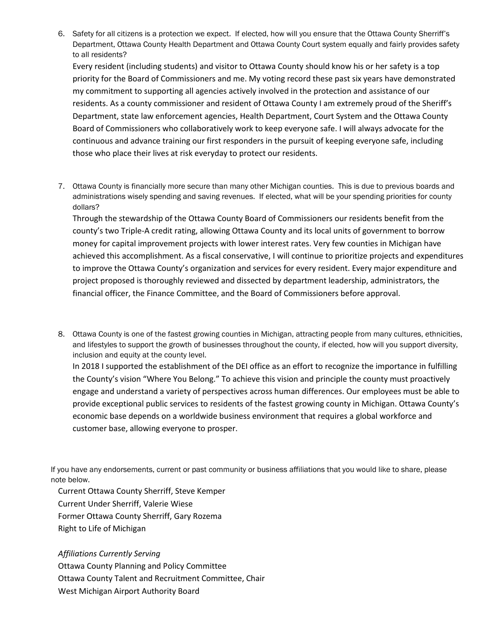6. Safety for all citizens is a protection we expect. If elected, how will you ensure that the Ottawa County Sherriff's Department, Ottawa County Health Department and Ottawa County Court system equally and fairly provides safety to all residents?

Every resident (including students) and visitor to Ottawa County should know his or her safety is a top priority for the Board of Commissioners and me. My voting record these past six years have demonstrated my commitment to supporting all agencies actively involved in the protection and assistance of our residents. As a county commissioner and resident of Ottawa County I am extremely proud of the Sheriff's Department, state law enforcement agencies, Health Department, Court System and the Ottawa County Board of Commissioners who collaboratively work to keep everyone safe. I will always advocate for the continuous and advance training our first responders in the pursuit of keeping everyone safe, including those who place their lives at risk everyday to protect our residents.

7. Ottawa County is financially more secure than many other Michigan counties. This is due to previous boards and administrations wisely spending and saving revenues. If elected, what will be your spending priorities for county dollars?

Through the stewardship of the Ottawa County Board of Commissioners our residents benefit from the county's two Triple-A credit rating, allowing Ottawa County and its local units of government to borrow money for capital improvement projects with lower interest rates. Very few counties in Michigan have achieved this accomplishment. As a fiscal conservative, I will continue to prioritize projects and expenditures to improve the Ottawa County's organization and services for every resident. Every major expenditure and project proposed is thoroughly reviewed and dissected by department leadership, administrators, the financial officer, the Finance Committee, and the Board of Commissioners before approval.

8. Ottawa County is one of the fastest growing counties in Michigan, attracting people from many cultures, ethnicities, and lifestyles to support the growth of businesses throughout the county, if elected, how will you support diversity, inclusion and equity at the county level.

In 2018 I supported the establishment of the DEI office as an effort to recognize the importance in fulfilling the County's vision "Where You Belong." To achieve this vision and principle the county must proactively engage and understand a variety of perspectives across human differences. Our employees must be able to provide exceptional public services to residents of the fastest growing county in Michigan. Ottawa County's economic base depends on a worldwide business environment that requires a global workforce and customer base, allowing everyone to prosper.

If you have any endorsements, current or past community or business affiliations that you would like to share, please note below.

Current Ottawa County Sherriff, Steve Kemper Current Under Sherriff, Valerie Wiese Former Ottawa County Sherriff, Gary Rozema Right to Life of Michigan

*Affiliations Currently Serving*

Ottawa County Planning and Policy Committee Ottawa County Talent and Recruitment Committee, Chair West Michigan Airport Authority Board